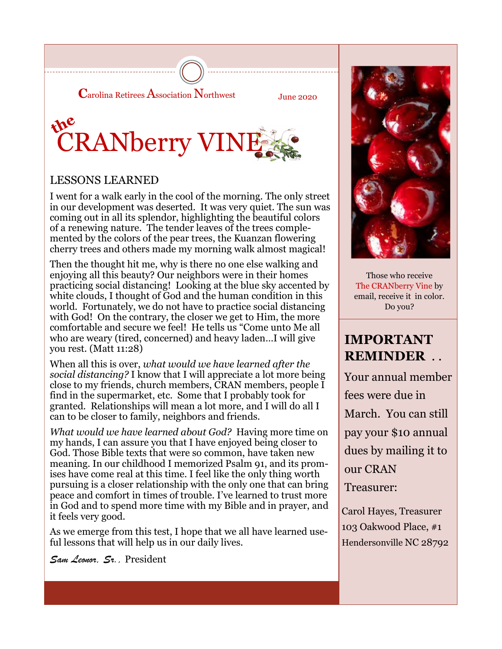

June 2020



### LESSONS LEARNED

I went for a walk early in the cool of the morning. The only street in our development was deserted. It was very quiet. The sun was coming out in all its splendor, highlighting the beautiful colors of a renewing nature. The tender leaves of the trees complemented by the colors of the pear trees, the Kuanzan flowering cherry trees and others made my morning walk almost magical!

Then the thought hit me, why is there no one else walking and enjoying all this beauty? Our neighbors were in their homes practicing social distancing! Looking at the blue sky accented by white clouds, I thought of God and the human condition in this world. Fortunately, we do not have to practice social distancing with God! On the contrary, the closer we get to Him, the more comfortable and secure we feel! He tells us "Come unto Me all who are weary (tired, concerned) and heavy laden…I will give you rest. (Matt 11:28)

When all this is over, *what would we have learned after the social distancing?* I know that I will appreciate a lot more being close to my friends, church members, CRAN members, people I find in the supermarket, etc. Some that I probably took for granted. Relationships will mean a lot more, and I will do all I can to be closer to family, neighbors and friends.

*What would we have learned about God?* Having more time on my hands, I can assure you that I have enjoyed being closer to God. Those Bible texts that were so common, have taken new meaning. In our childhood I memorized Psalm 91, and its promises have come real at this time. I feel like the only thing worth pursuing is a closer relationship with the only one that can bring peace and comfort in times of trouble. I've learned to trust more in God and to spend more time with my Bible and in prayer, and it feels very good.

As we emerge from this test, I hope that we all have learned useful lessons that will help us in our daily lives.

*Sam Leonor, Sr.,* President



Those who receive The CRANberry Vine by email, receive it in color. Do you?

# **IMPORTANT REMINDER** . .

Your annual member fees were due in March. You can still pay your \$10 annual dues by mailing it to our CRAN Treasurer:

Carol Hayes, Treasurer 103 Oakwood Place, #1 Hendersonville NC 28792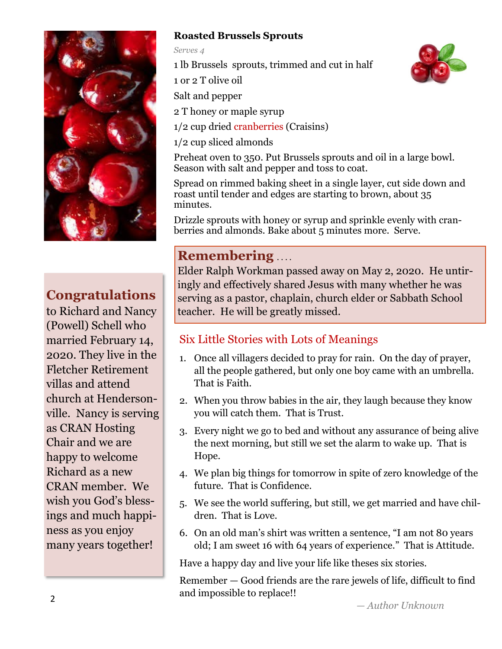

## **Congratulations**

to Richard and Nancy (Powell) Schell who married February 14, 2020. They live in the Fletcher Retirement villas and attend church at Hendersonville. Nancy is serving as CRAN Hosting Chair and we are happy to welcome Richard as a new CRAN member. We wish you God's blessings and much happiness as you enjoy many years together!

## **Roasted Brussels Sprouts**

*Serves 4*

1 lb Brussels sprouts, trimmed and cut in half

1 or 2 T olive oil

Salt and pepper

2 T honey or maple syrup

1/2 cup dried cranberries (Craisins)

1/2 cup sliced almonds

Preheat oven to 350. Put Brussels sprouts and oil in a large bowl. Season with salt and pepper and toss to coat.

Spread on rimmed baking sheet in a single layer, cut side down and roast until tender and edges are starting to brown, about 35 minutes.

Drizzle sprouts with honey or syrup and sprinkle evenly with cranberries and almonds. Bake about 5 minutes more. Serve.

## **Remembering** ....

Elder Ralph Workman passed away on May 2, 2020. He untiringly and effectively shared Jesus with many whether he was serving as a pastor, chaplain, church elder or Sabbath School teacher. He will be greatly missed.

## Six Little Stories with Lots of Meanings

- 1. Once all villagers decided to pray for rain. On the day of prayer, all the people gathered, but only one boy came with an umbrella. That is Faith.
- 2. When you throw babies in the air, they laugh because they know you will catch them. That is Trust.
- 3. Every night we go to bed and without any assurance of being alive the next morning, but still we set the alarm to wake up. That is Hope.
- 4. We plan big things for tomorrow in spite of zero knowledge of the future. That is Confidence.
- 5. We see the world suffering, but still, we get married and have children. That is Love.
- 6. On an old man's shirt was written a sentence, "I am not 80 years old; I am sweet 16 with 64 years of experience." That is Attitude.

Have a happy day and live your life like theses six stories.

Remember — Good friends are the rare jewels of life, difficult to find and impossible to replace!!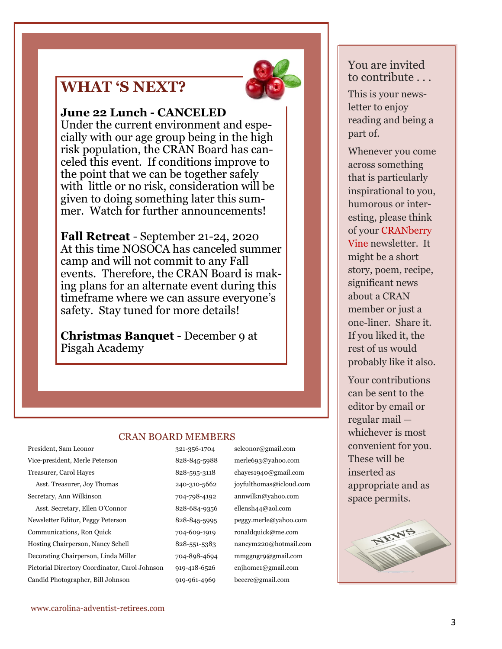# **WHAT 'S NEXT?**

#### **June 22 Lunch - CANCELED**

Under the current environment and especially with our age group being in the high risk population, the CRAN Board has canceled this event. If conditions improve to the point that we can be together safely with little or no risk, consideration will be given to doing something later this summer. Watch for further announcements!

**Fall Retreat** - September 21-24, 2020 At this time NOSOCA has canceled summer camp and will not commit to any Fall events. Therefore, the CRAN Board is making plans for an alternate event during this timeframe where we can assure everyone's safety. Stay tuned for more details!

**Christmas Banquet** - December 9 at Pisgah Academy

#### CRAN BOARD MEMBERS

Treasurer, Carol Hayes 828-595-3118 chayes1940@gmail.com Asst. Treasurer, Joy Thomas 240-310-5662 joyfulthomas@icloud.com Secretary, Ann Wilkinson 704-798-4192 annwilkn@yahoo.com Asst. Secretary, Ellen O'Connor 828-684-9356 ellensh44@aol.com Newsletter Editor, Peggy Peterson 828-845-5995 peggy.merle@yahoo.com Communications, Ron Quick 704-609-1919 ronaldquick@me.com Hosting Chairperson, Nancy Schell 828-551-5383 nancym220@hotmail.com Decorating Chairperson, Linda Miller 704-898-4694 mmggngr9@gmail.com Pictorial Directory Coordinator, Carol Johnson 919-418-6526 cnjhome1@gmail.com Candid Photographer, Bill Johnson 919-961-4969 beecre@gmail.com

President, Sam Leonor 321-356-1704 seleonor@gmail.com Vice-president, Merle Peterson 828-845-5988 merle693@yahoo.com

### You are invited to contribute . . .

This is your newsletter to enjoy reading and being a part of.

Whenever you come across something that is particularly inspirational to you, humorous or interesting, please think of your CRANberry Vine newsletter. It might be a short story, poem, recipe, significant news about a CRAN member or just a one-liner. Share it. If you liked it, the rest of us would probably like it also.

Your contributions can be sent to the editor by email or regular mail whichever is most convenient for you. These will be inserted as appropriate and as space permits.